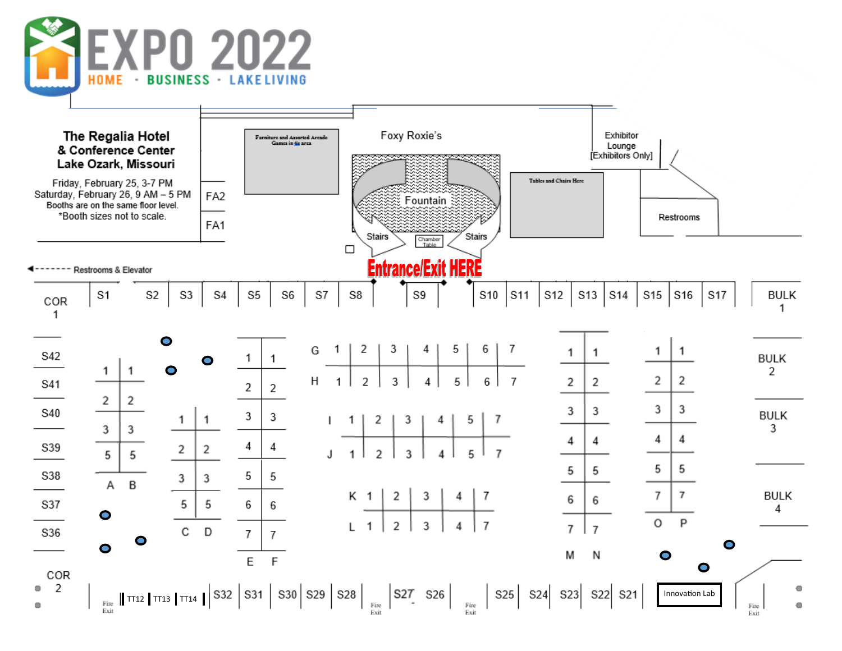

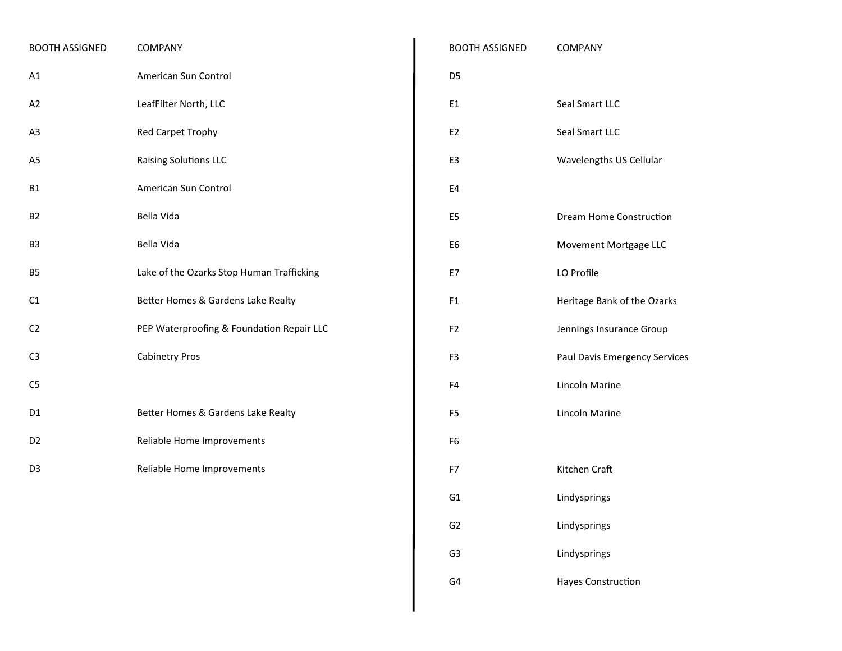| <b>BOOTH ASSIGNED</b> | <b>COMPANY</b>                            |
|-----------------------|-------------------------------------------|
| A1                    | American Sun Control                      |
| A2                    | LeafFilter North, LLC                     |
| A <sub>3</sub>        | <b>Red Carpet Trophy</b>                  |
| A5                    | <b>Raising Solutions LLC</b>              |
| B1                    | American Sun Control                      |
| <b>B2</b>             | Bella Vida                                |
| B <sub>3</sub>        | Bella Vida                                |
| <b>B5</b>             | Lake of the Ozarks Stop Human Trafficking |
| C1                    | Better Homes & Gardens Lake Realty        |
| C <sub>2</sub>        | PEP Waterproofing & Foundation Repair LLC |
| C <sub>3</sub>        | <b>Cabinetry Pros</b>                     |
| C <sub>5</sub>        |                                           |
| D <sub>1</sub>        | Better Homes & Gardens Lake Realty        |
| D <sub>2</sub>        | Reliable Home Improvements                |
| D <sub>3</sub>        | Reliable Home Improvements                |
|                       |                                           |

| <b>BOOTH ASSIGNED</b> | COMPANY                       |
|-----------------------|-------------------------------|
| D <sub>5</sub>        |                               |
| E1                    | Seal Smart LLC                |
| E2                    | Seal Smart LLC                |
| E3                    | Wavelengths US Cellular       |
| E4                    |                               |
| E5                    | Dream Home Construction       |
| E6                    | Movement Mortgage LLC         |
| E7                    | LO Profile                    |
| F1                    | Heritage Bank of the Ozarks   |
| F <sub>2</sub>        | Jennings Insurance Group      |
| F3                    | Paul Davis Emergency Services |
| F4                    | Lincoln Marine                |
| F <sub>5</sub>        | Lincoln Marine                |
| F <sub>6</sub>        |                               |
| F7                    | Kitchen Craft                 |
| G <sub>1</sub>        | Lindysprings                  |
| G2                    | Lindysprings                  |
| G3                    | Lindysprings                  |
| G4                    | <b>Hayes Construction</b>     |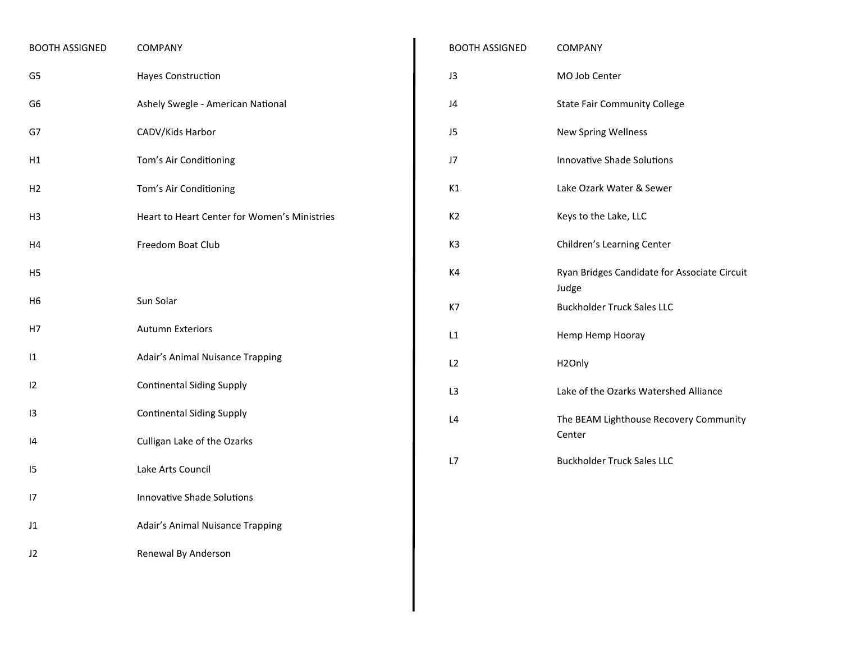| <b>BOOTH ASSIGNED</b> | COMPANY                                      |
|-----------------------|----------------------------------------------|
| G <sub>5</sub>        | Hayes Construction                           |
| G <sub>6</sub>        | Ashely Swegle - American National            |
| G7                    | CADV/Kids Harbor                             |
| Η1                    | Tom's Air Conditioning                       |
| H <sub>2</sub>        | Tom's Air Conditioning                       |
| H3                    | Heart to Heart Center for Women's Ministries |
| H4                    | Freedom Boat Club                            |
| H5                    |                                              |
| Η6                    | Sun Solar                                    |
| Н7                    | <b>Autumn Exteriors</b>                      |
| $\mathbf{11}$         | Adair's Animal Nuisance Trapping             |
| 12                    | <b>Continental Siding Supply</b>             |
| 13                    | <b>Continental Siding Supply</b>             |
| 14                    | Culligan Lake of the Ozarks                  |
| 15                    | Lake Arts Council                            |
| 17                    | <b>Innovative Shade Solutions</b>            |
| J1                    | Adair's Animal Nuisance Trapping             |
| J2                    | Renewal By Anderson                          |
|                       |                                              |

| <b>BOOTH ASSIGNED</b> | <b>COMPANY</b>                                        |
|-----------------------|-------------------------------------------------------|
| J3                    | MO Job Center                                         |
| J4                    | <b>State Fair Community College</b>                   |
| J <sub>5</sub>        | <b>New Spring Wellness</b>                            |
| J7                    | <b>Innovative Shade Solutions</b>                     |
| K1                    | Lake Ozark Water & Sewer                              |
| K <sub>2</sub>        | Keys to the Lake, LLC                                 |
| K <sub>3</sub>        | Children's Learning Center                            |
| K4                    | Ryan Bridges Candidate for Associate Circuit<br>Judge |
| K7                    | <b>Buckholder Truck Sales LLC</b>                     |
| L1                    | Hemp Hemp Hooray                                      |
| L <sub>2</sub>        | H <sub>2</sub> Only                                   |
| L3                    | Lake of the Ozarks Watershed Alliance                 |
| L4                    | The BEAM Lighthouse Recovery Community<br>Center      |
| L7                    | <b>Buckholder Truck Sales LLC</b>                     |
|                       |                                                       |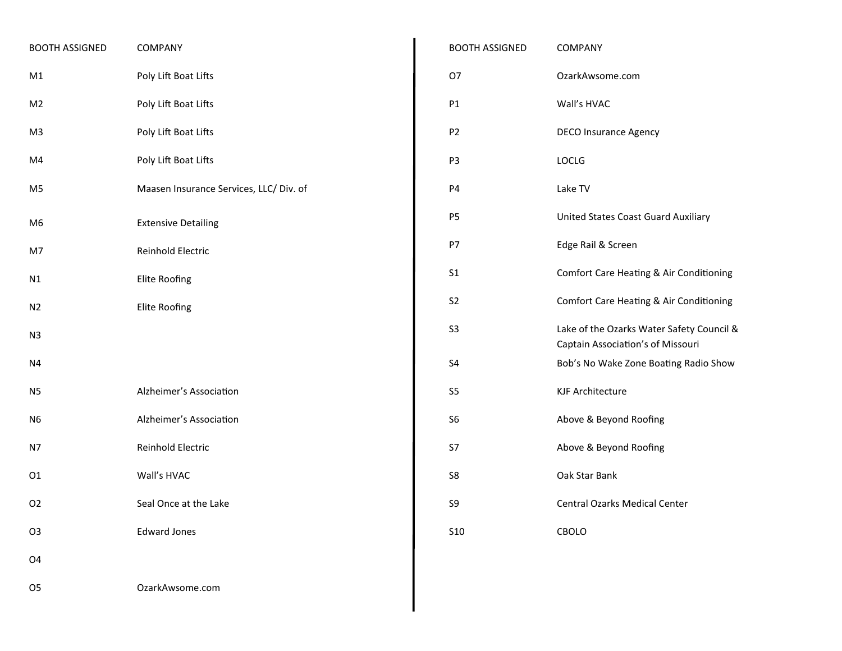| <b>BOOTH ASSIGNED</b> | COMPANY                                 |
|-----------------------|-----------------------------------------|
| M1                    | Poly Lift Boat Lifts                    |
| M <sub>2</sub>        | Poly Lift Boat Lifts                    |
| M <sub>3</sub>        | Poly Lift Boat Lifts                    |
| M4                    | Poly Lift Boat Lifts                    |
| M5                    | Maasen Insurance Services, LLC/ Div. of |
| M6                    | <b>Extensive Detailing</b>              |
| M7                    | Reinhold Electric                       |
| N1                    | Elite Roofing                           |
| N <sub>2</sub>        | <b>Elite Roofing</b>                    |
| N <sub>3</sub>        |                                         |
| N4                    |                                         |
| N <sub>5</sub>        | Alzheimer's Association                 |
| N <sub>6</sub>        | Alzheimer's Association                 |
| N7                    | Reinhold Electric                       |
| 01                    | Wall's HVAC                             |
| O <sub>2</sub>        | Seal Once at the Lake                   |
| O <sub>3</sub>        | <b>Edward Jones</b>                     |
| O <sub>4</sub>        |                                         |
| O <sub>5</sub>        | OzarkAwsome.com                         |

| <b>BOOTH ASSIGNED</b> | COMPANY                                                                        |
|-----------------------|--------------------------------------------------------------------------------|
| 07                    | OzarkAwsome.com                                                                |
| P1                    | Wall's HVAC                                                                    |
| P2                    | <b>DECO Insurance Agency</b>                                                   |
| P <sub>3</sub>        | <b>LOCLG</b>                                                                   |
| P4                    | Lake TV                                                                        |
| P5                    | United States Coast Guard Auxiliary                                            |
| P7                    | Edge Rail & Screen                                                             |
| S <sub>1</sub>        | Comfort Care Heating & Air Conditioning                                        |
| S2                    | Comfort Care Heating & Air Conditioning                                        |
| S3                    | Lake of the Ozarks Water Safety Council &<br>Captain Association's of Missouri |
| S4                    | Bob's No Wake Zone Boating Radio Show                                          |
| S5                    | KJF Architecture                                                               |
| S6                    | Above & Beyond Roofing                                                         |
| S7                    | Above & Beyond Roofing                                                         |
| S8                    | Oak Star Bank                                                                  |
| S9                    | <b>Central Ozarks Medical Center</b>                                           |
| S <sub>10</sub>       | CBOLO                                                                          |